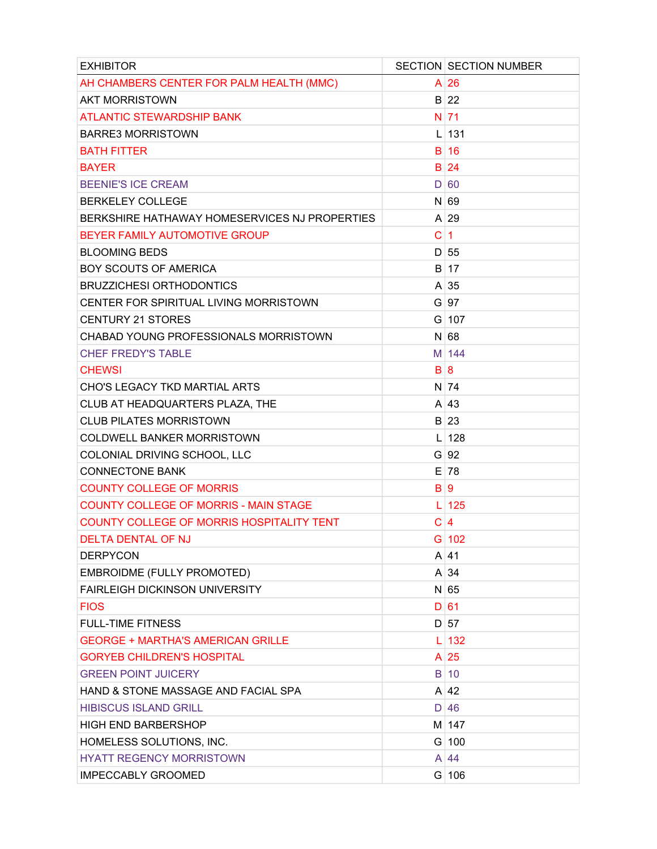| <b>EXHIBITOR</b>                              |             | <b>SECTION SECTION NUMBER</b> |
|-----------------------------------------------|-------------|-------------------------------|
| AH CHAMBERS CENTER FOR PALM HEALTH (MMC)      |             | $A$ 26                        |
| <b>AKT MORRISTOWN</b>                         |             | B 22                          |
| <b>ATLANTIC STEWARDSHIP BANK</b>              |             | $N$ 71                        |
| <b>BARRE3 MORRISTOWN</b>                      |             | $L$ 131                       |
| <b>BATH FITTER</b>                            |             | $B$ 16                        |
| <b>BAYER</b>                                  |             | B 24                          |
| <b>BEENIE'S ICE CREAM</b>                     |             | D 60                          |
| <b>BERKELEY COLLEGE</b>                       |             | $N$ 69                        |
| BERKSHIRE HATHAWAY HOMESERVICES NJ PROPERTIES |             | $A$ 29                        |
| BEYER FAMILY AUTOMOTIVE GROUP                 | C           | $\overline{1}$                |
| <b>BLOOMING BEDS</b>                          |             | D 55                          |
| <b>BOY SCOUTS OF AMERICA</b>                  |             | B 17                          |
| <b>BRUZZICHESI ORTHODONTICS</b>               |             | $A \mid 35$                   |
| CENTER FOR SPIRITUAL LIVING MORRISTOWN        |             | $G$ 97                        |
| <b>CENTURY 21 STORES</b>                      |             | $G$ 107                       |
| CHABAD YOUNG PROFESSIONALS MORRISTOWN         |             | $N$ 68                        |
| <b>CHEF FREDY'S TABLE</b>                     |             | M 144                         |
| <b>CHEWSI</b>                                 | B 8         |                               |
| CHO'S LEGACY TKD MARTIAL ARTS                 |             | N 74                          |
| CLUB AT HEADQUARTERS PLAZA, THE               |             | A 43                          |
| <b>CLUB PILATES MORRISTOWN</b>                |             | B 23                          |
| <b>COLDWELL BANKER MORRISTOWN</b>             |             | $L$ 128                       |
| COLONIAL DRIVING SCHOOL, LLC                  |             | $G$ 92                        |
| <b>CONNECTONE BANK</b>                        |             | $E$ 78                        |
| <b>COUNTY COLLEGE OF MORRIS</b>               | B 9         |                               |
| <b>COUNTY COLLEGE OF MORRIS - MAIN STAGE</b>  |             | 125                           |
| COUNTY COLLEGE OF MORRIS HOSPITALITY TENT     | $\mathbf C$ | $\overline{4}$                |
| <b>DELTA DENTAL OF NJ</b>                     |             | $G$ 102                       |
| <b>DERPYCON</b>                               |             | $A$ 41                        |
| EMBROIDME (FULLY PROMOTED)                    |             | $A \mid 34$                   |
| <b>FAIRLEIGH DICKINSON UNIVERSITY</b>         |             | $N$ 65                        |
| <b>FIOS</b>                                   |             | D 61                          |
| <b>FULL-TIME FITNESS</b>                      |             | D 57                          |
| <b>GEORGE + MARTHA'S AMERICAN GRILLE</b>      | L           | 132                           |
| <b>GORYEB CHILDREN'S HOSPITAL</b>             |             | $A$ 25                        |
| <b>GREEN POINT JUICERY</b>                    |             | $B$ 10                        |
| HAND & STONE MASSAGE AND FACIAL SPA           |             | $A$ 42                        |
| <b>HIBISCUS ISLAND GRILL</b>                  |             | $D$ 46                        |
| <b>HIGH END BARBERSHOP</b>                    |             | M 147                         |
| HOMELESS SOLUTIONS, INC.                      |             | $G$ 100                       |
| <b>HYATT REGENCY MORRISTOWN</b>               |             | $A \mid 44$                   |
| <b>IMPECCABLY GROOMED</b>                     |             | $G$ 106                       |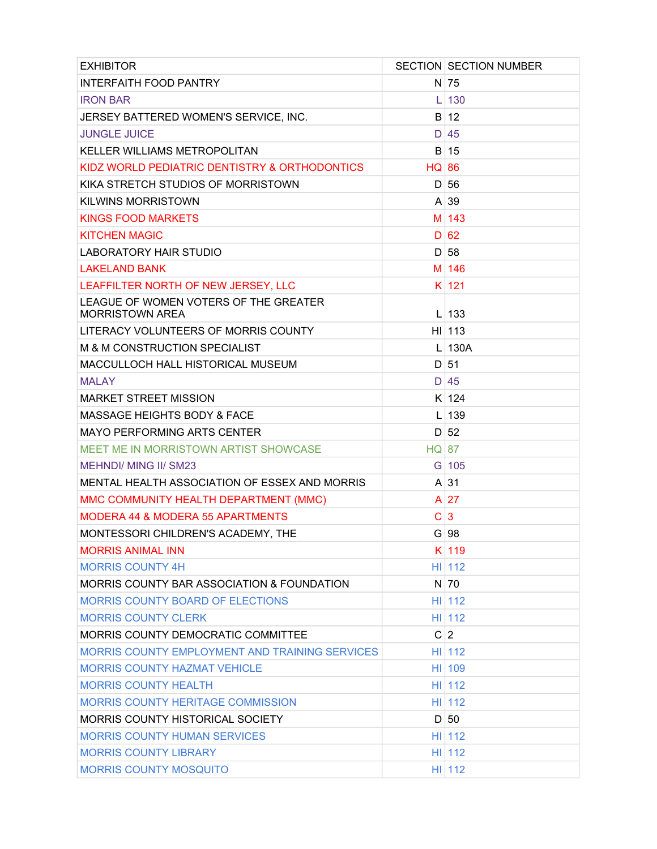| <b>EXHIBITOR</b>                                                |              | <b>SECTION SECTION NUMBER</b> |
|-----------------------------------------------------------------|--------------|-------------------------------|
| INTERFAITH FOOD PANTRY                                          |              | $N$ 75                        |
| <b>IRON BAR</b>                                                 | L            | 130                           |
| JERSEY BATTERED WOMEN'S SERVICE, INC.                           |              | B 12                          |
| <b>JUNGLE JUICE</b>                                             |              | $D$ 45                        |
| <b>KELLER WILLIAMS METROPOLITAN</b>                             |              | $B$ 15                        |
| KIDZ WORLD PEDIATRIC DENTISTRY & ORTHODONTICS                   | <b>HQ 86</b> |                               |
| KIKA STRETCH STUDIOS OF MORRISTOWN                              | D            | 56                            |
| <b>KILWINS MORRISTOWN</b>                                       |              | $A \mid 39$                   |
| <b>KINGS FOOD MARKETS</b>                                       |              | M 143                         |
| <b>KITCHEN MAGIC</b>                                            |              | D 62                          |
| <b>LABORATORY HAIR STUDIO</b>                                   |              | D 58                          |
| <b>LAKELAND BANK</b>                                            |              | M 146                         |
| LEAFFILTER NORTH OF NEW JERSEY, LLC                             |              | K 121                         |
| LEAGUE OF WOMEN VOTERS OF THE GREATER<br><b>MORRISTOWN AREA</b> |              | $L$ 133                       |
| LITERACY VOLUNTEERS OF MORRIS COUNTY                            |              | H1113                         |
| M & M CONSTRUCTION SPECIALIST                                   |              | $L$ 130A                      |
| MACCULLOCH HALL HISTORICAL MUSEUM                               |              | $D$ 51                        |
| <b>MALAY</b>                                                    |              | $D$ 45                        |
| <b>MARKET STREET MISSION</b>                                    |              | K 124                         |
| <b>MASSAGE HEIGHTS BODY &amp; FACE</b>                          | L            | 139                           |
| <b>MAYO PERFORMING ARTS CENTER</b>                              |              | D 52                          |
| MEET ME IN MORRISTOWN ARTIST SHOWCASE                           | <b>HQ 87</b> |                               |
| <b>MEHNDI/ MING II/ SM23</b>                                    |              | G 105                         |
| MENTAL HEALTH ASSOCIATION OF ESSEX AND MORRIS                   |              | $A \mid 31$                   |
| MMC COMMUNITY HEALTH DEPARTMENT (MMC)                           |              | $A$ 27                        |
| <b>MODERA 44 &amp; MODERA 55 APARTMENTS</b>                     | C            | 3                             |
| MONTESSORI CHILDREN'S ACADEMY, THE                              |              | $G$ 98                        |
| <b>MORRIS ANIMAL INN</b>                                        |              | K 119                         |
| <b>MORRIS COUNTY 4H</b>                                         |              | $H1$   112                    |
| MORRIS COUNTY BAR ASSOCIATION & FOUNDATION                      |              | $N$ 70                        |
| MORRIS COUNTY BOARD OF ELECTIONS                                |              | H1112                         |
| <b>MORRIS COUNTY CLERK</b>                                      |              | HI 112                        |
| MORRIS COUNTY DEMOCRATIC COMMITTEE                              |              | C 2                           |
| <b>MORRIS COUNTY EMPLOYMENT AND TRAINING SERVICES</b>           |              | H1112                         |
| <b>MORRIS COUNTY HAZMAT VEHICLE</b>                             |              | HI 109                        |
| <b>MORRIS COUNTY HEALTH</b>                                     |              | HI 112                        |
| <b>MORRIS COUNTY HERITAGE COMMISSION</b>                        |              | H1112                         |
| <b>MORRIS COUNTY HISTORICAL SOCIETY</b>                         |              | D 50                          |
| <b>MORRIS COUNTY HUMAN SERVICES</b>                             |              | H1112                         |
| <b>MORRIS COUNTY LIBRARY</b>                                    |              | H1112                         |
| <b>MORRIS COUNTY MOSQUITO</b>                                   |              | HI 112                        |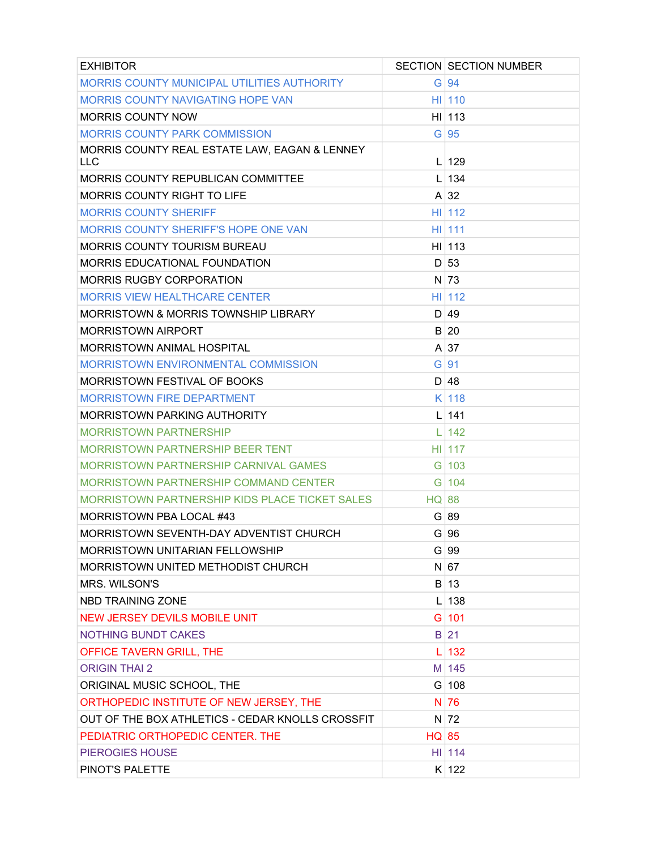| <b>EXHIBITOR</b>                                      |              | <b>SECTION SECTION NUMBER</b> |
|-------------------------------------------------------|--------------|-------------------------------|
| MORRIS COUNTY MUNICIPAL UTILITIES AUTHORITY           |              | $G$ 94                        |
| <b>MORRIS COUNTY NAVIGATING HOPE VAN</b>              |              | $HII$ 110                     |
| <b>MORRIS COUNTY NOW</b>                              |              | $H1$   113                    |
| <b>MORRIS COUNTY PARK COMMISSION</b>                  |              | $G$ 95                        |
| MORRIS COUNTY REAL ESTATE LAW, EAGAN & LENNEY<br>LLC  |              | $L$ 129                       |
| <b>MORRIS COUNTY REPUBLICAN COMMITTEE</b>             |              | $L$ 134                       |
| <b>MORRIS COUNTY RIGHT TO LIFE</b>                    |              | $A \mid 32$                   |
| <b>MORRIS COUNTY SHERIFF</b>                          |              | $HII$ 112                     |
| <b>MORRIS COUNTY SHERIFF'S HOPE ONE VAN</b>           |              | HI 111                        |
| <b>MORRIS COUNTY TOURISM BUREAU</b>                   |              | H1113                         |
| <b>MORRIS EDUCATIONAL FOUNDATION</b>                  |              | D 53                          |
| <b>MORRIS RUGBY CORPORATION</b>                       |              | $N$ 73                        |
| MORRIS VIEW HEALTHCARE CENTER                         |              | H1112                         |
| MORRISTOWN & MORRIS TOWNSHIP LIBRARY                  |              | D 49                          |
| <b>MORRISTOWN AIRPORT</b>                             |              | B 20                          |
| <b>MORRISTOWN ANIMAL HOSPITAL</b>                     |              | $A \mid 37$                   |
| MORRISTOWN ENVIRONMENTAL COMMISSION                   |              | $G$ 91                        |
| MORRISTOWN FESTIVAL OF BOOKS                          |              | D 48                          |
| <b>MORRISTOWN FIRE DEPARTMENT</b>                     |              | $K$ 118                       |
| <b>MORRISTOWN PARKING AUTHORITY</b>                   |              | $L$ 141                       |
| <b>MORRISTOWN PARTNERSHIP</b>                         |              | $L$ 142                       |
| MORRISTOWN PARTNERSHIP BEER TENT                      |              | HII 117                       |
| MORRISTOWN PARTNERSHIP CARNIVAL GAMES                 |              | $G$ 103                       |
| MORRISTOWN PARTNERSHIP COMMAND CENTER                 |              | $G$ 104                       |
| <b>MORRISTOWN PARTNERSHIP KIDS PLACE TICKET SALES</b> | <b>HQ 88</b> |                               |
| MORRISTOWN PBA LOCAL #43                              |              | G 89                          |
| MORRISTOWN SEVENTH-DAY ADVENTIST CHURCH               |              | G 96                          |
| <b>MORRISTOWN UNITARIAN FELLOWSHIP</b>                |              | $G$ 99                        |
| MORRISTOWN UNITED METHODIST CHURCH                    |              | N 67                          |
| <b>MRS. WILSON'S</b>                                  |              | B 13                          |
| NBD TRAINING ZONE                                     |              | $L$ 138                       |
| <b>NEW JERSEY DEVILS MOBILE UNIT</b>                  |              | $G$ 101                       |
| <b>NOTHING BUNDT CAKES</b>                            |              | $B$ 21                        |
| OFFICE TAVERN GRILL, THE                              |              | $L$ 132                       |
| <b>ORIGIN THAI 2</b>                                  |              | M 145                         |
| ORIGINAL MUSIC SCHOOL, THE                            |              | $G$ 108                       |
| ORTHOPEDIC INSTITUTE OF NEW JERSEY, THE               |              | N 76                          |
| OUT OF THE BOX ATHLETICS - CEDAR KNOLLS CROSSFIT      |              | $N$ 72                        |
| PEDIATRIC ORTHOPEDIC CENTER. THE                      | <b>HQ 85</b> |                               |
| <b>PIEROGIES HOUSE</b>                                |              | HI 114                        |
| PINOT'S PALETTE                                       |              | K 122                         |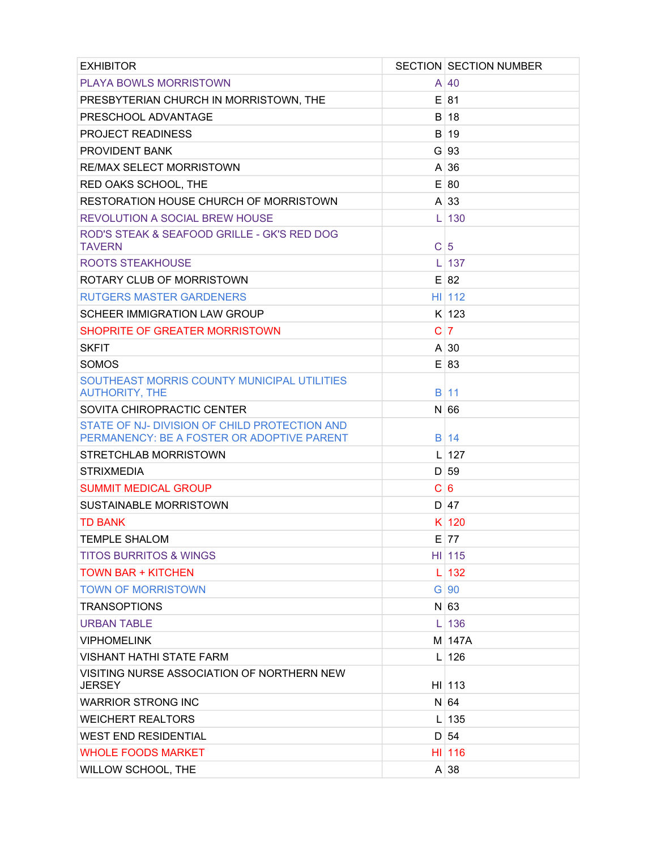| <b>EXHIBITOR</b>                                                                            |   | <b>SECTION SECTION NUMBER</b> |
|---------------------------------------------------------------------------------------------|---|-------------------------------|
| <b>PLAYA BOWLS MORRISTOWN</b>                                                               |   | A 40                          |
| PRESBYTERIAN CHURCH IN MORRISTOWN, THE                                                      |   | $E$ 81                        |
| PRESCHOOL ADVANTAGE                                                                         |   | B 18                          |
| <b>PROJECT READINESS</b>                                                                    |   | B 19                          |
| <b>PROVIDENT BANK</b>                                                                       |   | $G$ 93                        |
| <b>RE/MAX SELECT MORRISTOWN</b>                                                             |   | $A \mid 36$                   |
| RED OAKS SCHOOL, THE                                                                        |   | E 80                          |
| RESTORATION HOUSE CHURCH OF MORRISTOWN                                                      |   | $A \mid 33$                   |
| <b>REVOLUTION A SOCIAL BREW HOUSE</b>                                                       | L | 130                           |
| ROD'S STEAK & SEAFOOD GRILLE - GK'S RED DOG<br><b>TAVERN</b>                                | C | $\sqrt{5}$                    |
| ROOTS STEAKHOUSE                                                                            | L | 137                           |
| ROTARY CLUB OF MORRISTOWN                                                                   |   | E 82                          |
| <b>RUTGERS MASTER GARDENERS</b>                                                             |   | H1112                         |
| SCHEER IMMIGRATION LAW GROUP                                                                |   | $K$ 123                       |
| SHOPRITE OF GREATER MORRISTOWN                                                              | C | $\overline{7}$                |
| <b>SKFIT</b>                                                                                |   | A130                          |
| SOMOS                                                                                       |   | E 83                          |
| SOUTHEAST MORRIS COUNTY MUNICIPAL UTILITIES<br><b>AUTHORITY, THE</b>                        |   | <b>B</b> <sub>11</sub>        |
| SOVITA CHIROPRACTIC CENTER                                                                  |   | $N$ 66                        |
| STATE OF NJ- DIVISION OF CHILD PROTECTION AND<br>PERMANENCY: BE A FOSTER OR ADOPTIVE PARENT |   | B 14                          |
| STRETCHLAB MORRISTOWN                                                                       | L | 127                           |
| <b>STRIXMEDIA</b>                                                                           |   | D 59                          |
| <b>SUMMIT MEDICAL GROUP</b>                                                                 | С | 6                             |
| <b>SUSTAINABLE MORRISTOWN</b>                                                               |   | D 47                          |
| <b>TD BANK</b>                                                                              |   | K 120                         |
| <b>TEMPLE SHALOM</b>                                                                        |   | $E$ 77                        |
| <b>TITOS BURRITOS &amp; WINGS</b>                                                           |   | $HII$ 115                     |
| <b>TOWN BAR + KITCHEN</b>                                                                   | L | 132                           |
| <b>TOWN OF MORRISTOWN</b>                                                                   |   | $G$ 90                        |
| <b>TRANSOPTIONS</b>                                                                         |   | $N$ 63                        |
| <b>URBAN TABLE</b>                                                                          | L | 136                           |
| <b>VIPHOMELINK</b>                                                                          |   | M 147A                        |
| <b>VISHANT HATHI STATE FARM</b>                                                             |   | $L$ 126                       |
| VISITING NURSE ASSOCIATION OF NORTHERN NEW<br><b>JERSEY</b>                                 |   | $HI$ 113                      |
| <b>WARRIOR STRONG INC</b>                                                                   |   | N 64                          |
| <b>WEICHERT REALTORS</b>                                                                    | L | 135                           |
| <b>WEST END RESIDENTIAL</b>                                                                 |   | $D \mid 54$                   |
| <b>WHOLE FOODS MARKET</b>                                                                   |   | $HII$ 116                     |
| WILLOW SCHOOL, THE                                                                          |   | $A \mid 38$                   |